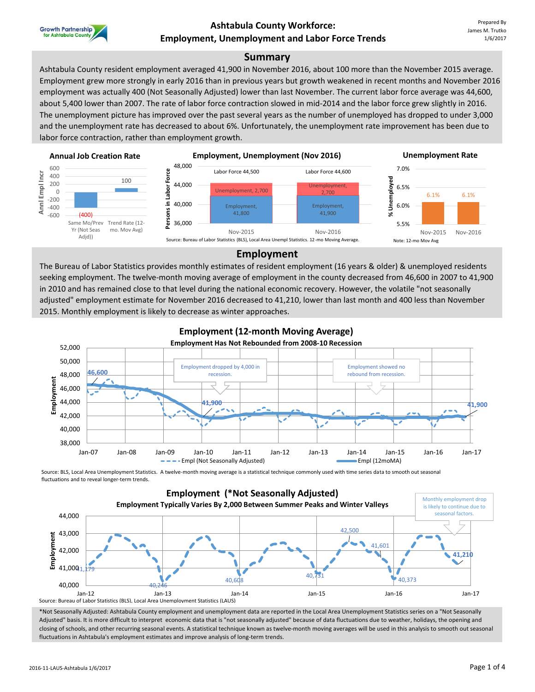

## **Ashtabula County Workforce: Employment, Unemployment and Labor Force Trends**

### **Summary**

Ashtabula County resident employment averaged 41,900 in November 2016, about 100 more than the November 2015 average. Employment grew more strongly in early 2016 than in previous years but growth weakened in recent months and November 2016 employment was actually 400 (Not Seasonally Adjusted) lower than last November. The current labor force average was 44,600, about 5,400 lower than 2007. The rate of labor force contraction slowed in mid-2014 and the labor force grew slightly in 2016. The unemployment picture has improved over the past several years as the number of unemployed has dropped to under 3,000 and the unemployment rate has decreased to about 6%. Unfortunately, the unemployment rate improvement has been due to labor force contraction, rather than employment growth.



### **Employment**

The Bureau of Labor Statistics provides monthly estimates of resident employment (16 years & older) & unemployed residents seeking employment. The twelve-month moving average of employment in the county decreased from 46,600 in 2007 to 41,900 in 2010 and has remained close to that level during the national economic recovery. However, the volatile "not seasonally adjusted" employment estimate for November 2016 decreased to 41,210, lower than last month and 400 less than November 2015. Monthly employment is likely to decrease as winter approaches.



# **Employment (12-month Moving Average)**

Source: BLS, Local Area Unemployment Statistics. A twelve-month moving average is a statistical technique commonly used with time series data to smooth out seasonal fluctuations and to reveal longer-term trends.



\*Not Seasonally Adjusted: Ashtabula County employment and unemployment data are reported in the Local Area Unemployment Statistics series on a "Not Seasonally Adjusted" basis. It is more difficult to interpret economic data that is "not seasonally adjusted" because of data fluctuations due to weather, holidays, the opening and closing of schools, and other recurring seasonal events. A statistical technique known as twelve-month moving averages will be used in this analysis to smooth out seasonal fluctuations in Ashtabula's employment estimates and improve analysis of long-term trends.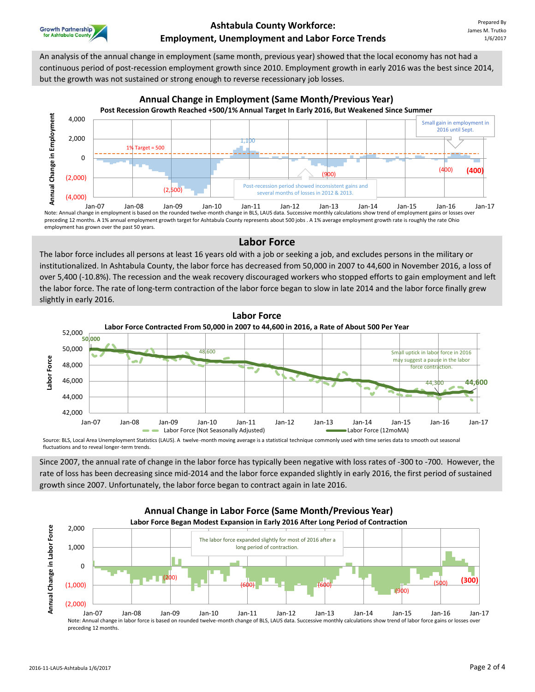

An analysis of the annual change in employment (same month, previous year) showed that the local economy has not had a continuous period of post-recession employment growth since 2010. Employment growth in early 2016 was the best since 2014, but the growth was not sustained or strong enough to reverse recessionary job losses.



## **Annual Change in Employment (Same Month/Previous Year)**

preceding 12 months. A 1% annual employment growth target for Ashtabula County represents about 500 jobs . A 1% average employment growth rate is roughly the rate Ohio employment has grown over the past 50 years.

## **Labor Force**

The labor force includes all persons at least 16 years old with a job or seeking a job, and excludes persons in the military or institutionalized. In Ashtabula County, the labor force has decreased from 50,000 in 2007 to 44,600 in November 2016, a loss of over 5,400 (-10.8%). The recession and the weak recovery discouraged workers who stopped efforts to gain employment and left the labor force. The rate of long-term contraction of the labor force began to slow in late 2014 and the labor force finally grew slightly in early 2016.



Source: BLS, Local Area Unemployment Statistics (LAUS). A twelve-month moving average is a statistical technique commonly used with time series data to smooth out seasonal fluctuations and to reveal longer-term trends.

Since 2007, the annual rate of change in the labor force has typically been negative with loss rates of -300 to -700. However, the rate of loss has been decreasing since mid-2014 and the labor force expanded slightly in early 2016, the first period of sustained growth since 2007. Unfortunately, the labor force began to contract again in late 2016.

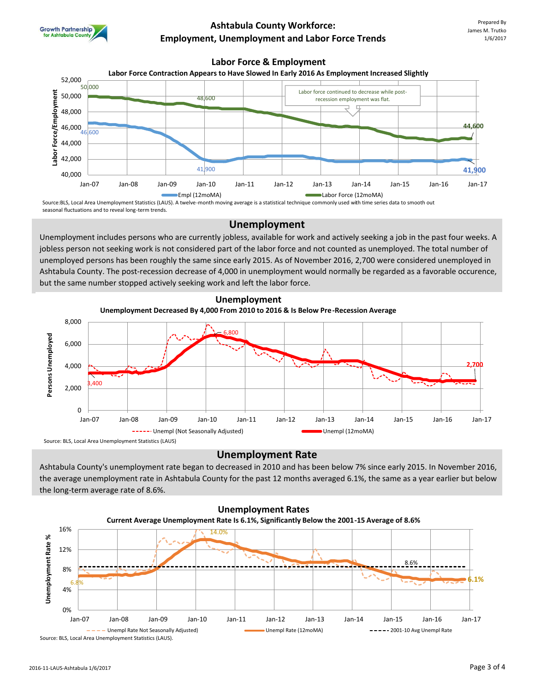

## **Ashtabula County Workforce: Employment, Unemployment and Labor Force Trends**

#### **Labor Force & Employment**





Source:BLS, Local Area Unemployment Statistics (LAUS). A twelve-month moving average is a statistical technique commonly used with time series data to smooth out seasonal fluctuations and to reveal long-term trends.

### **Unemployment**

Unemployment includes persons who are currently jobless, available for work and actively seeking a job in the past four weeks. A jobless person not seeking work is not considered part of the labor force and not counted as unemployed. The total number of unemployed persons has been roughly the same since early 2015. As of November 2016, 2,700 were considered unemployed in Ashtabula County. The post-recession decrease of 4,000 in unemployment would normally be regarded as a favorable occurence, but the same number stopped actively seeking work and left the labor force.



### **Unemployment Rate**

Ashtabula County's unemployment rate began to decreased in 2010 and has been below 7% since early 2015. In November 2016, the average unemployment rate in Ashtabula County for the past 12 months averaged 6.1%, the same as a year earlier but below the long-term average rate of 8.6%.



Source: BLS, Local Area Unemployment Statistics (LAUS).